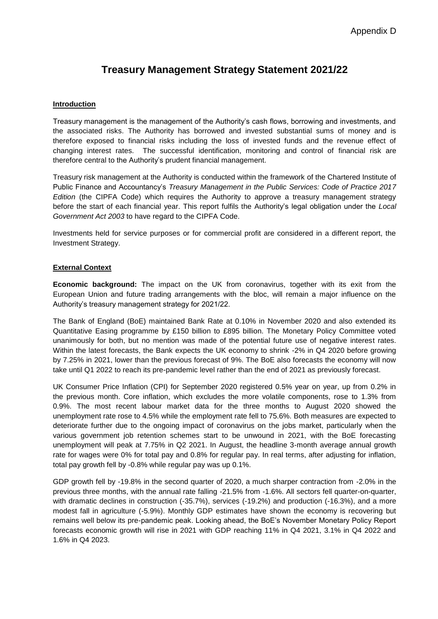# **Treasury Management Strategy Statement 2021/22**

#### **Introduction**

Treasury management is the management of the Authority's cash flows, borrowing and investments, and the associated risks. The Authority has borrowed and invested substantial sums of money and is therefore exposed to financial risks including the loss of invested funds and the revenue effect of changing interest rates. The successful identification, monitoring and control of financial risk are therefore central to the Authority's prudent financial management.

Treasury risk management at the Authority is conducted within the framework of the Chartered Institute of Public Finance and Accountancy's *Treasury Management in the Public Services: Code of Practice 2017 Edition* (the CIPFA Code) which requires the Authority to approve a treasury management strategy before the start of each financial year. This report fulfils the Authority's legal obligation under the *Local Government Act 2003* to have regard to the CIPFA Code.

Investments held for service purposes or for commercial profit are considered in a different report, the Investment Strategy.

#### **External Context**

**Economic background:** The impact on the UK from coronavirus, together with its exit from the European Union and future trading arrangements with the bloc, will remain a major influence on the Authority's treasury management strategy for 2021/22.

The Bank of England (BoE) maintained Bank Rate at 0.10% in November 2020 and also extended its Quantitative Easing programme by £150 billion to £895 billion. The Monetary Policy Committee voted unanimously for both, but no mention was made of the potential future use of negative interest rates. Within the latest forecasts, the Bank expects the UK economy to shrink -2% in Q4 2020 before growing by 7.25% in 2021, lower than the previous forecast of 9%. The BoE also forecasts the economy will now take until Q1 2022 to reach its pre-pandemic level rather than the end of 2021 as previously forecast.

UK Consumer Price Inflation (CPI) for September 2020 registered 0.5% year on year, up from 0.2% in the previous month. Core inflation, which excludes the more volatile components, rose to 1.3% from 0.9%. The most recent labour market data for the three months to August 2020 showed the unemployment rate rose to 4.5% while the employment rate fell to 75.6%. Both measures are expected to deteriorate further due to the ongoing impact of coronavirus on the jobs market, particularly when the various government job retention schemes start to be unwound in 2021, with the BoE forecasting unemployment will peak at 7.75% in Q2 2021. In August, the headline 3-month average annual growth rate for wages were 0% for total pay and 0.8% for regular pay. In real terms, after adjusting for inflation, total pay growth fell by -0.8% while regular pay was up 0.1%.

GDP growth fell by -19.8% in the second quarter of 2020, a much sharper contraction from -2.0% in the previous three months, with the annual rate falling -21.5% from -1.6%. All sectors fell quarter-on-quarter, with dramatic declines in construction (-35.7%), services (-19.2%) and production (-16.3%), and a more modest fall in agriculture (-5.9%). Monthly GDP estimates have shown the economy is recovering but remains well below its pre-pandemic peak. Looking ahead, the BoE's November Monetary Policy Report forecasts economic growth will rise in 2021 with GDP reaching 11% in Q4 2021, 3.1% in Q4 2022 and 1.6% in Q4 2023.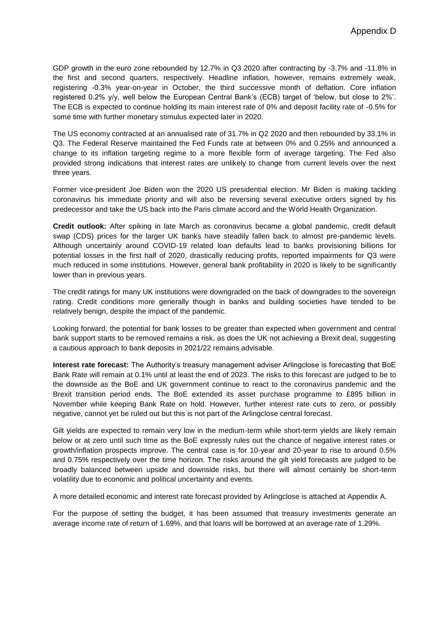GDP growth in the euro zone rebounded by 12.7% in Q3 2020 after contracting by -3.7% and -11.8% in the first and second quarters, respectively. Headline inflation, however, remains extremely weak, registering -0.3% year-on-year in October, the third successive month of deflation. Core inflation registered 0.2% y/y, well below the European Central Bank's (ECB) target of 'below, but close to 2%'. The ECB is expected to continue holding its main interest rate of 0% and deposit facility rate of -0.5% for some time with further monetary stimulus expected later in 2020.

The US economy contracted at an annualised rate of 31.7% in Q2 2020 and then rebounded by 33.1% in Q3. The Federal Reserve maintained the Fed Funds rate at between 0% and 0.25% and announced a change to its inflation targeting regime to a more flexible form of average targeting. The Fed also provided strong indications that interest rates are unlikely to change from current levels over the next three years.

Former vice-president Joe Biden won the 2020 US presidential election. Mr Biden is making tackling coronavirus his immediate priority and will also be reversing several executive orders signed by his predecessor and take the US back into the Paris climate accord and the World Health Organization.

**Credit outlook:** After spiking in late March as coronavirus became a global pandemic, credit default swap (CDS) prices for the larger UK banks have steadily fallen back to almost pre-pandemic levels. Although uncertainly around COVID-19 related loan defaults lead to banks provisioning billions for potential losses in the first half of 2020, drastically reducing profits, reported impairments for Q3 were much reduced in some institutions. However, general bank profitability in 2020 is likely to be significantly lower than in previous years.

The credit ratings for many UK institutions were downgraded on the back of downgrades to the sovereign rating. Credit conditions more generally though in banks and building societies have tended to be relatively benign, despite the impact of the pandemic.

Looking forward, the potential for bank losses to be greater than expected when government and central bank support starts to be removed remains a risk, as does the UK not achieving a Brexit deal, suggesting a cautious approach to bank deposits in 2021/22 remains advisable.

**Interest rate forecast:** The Authority's treasury management adviser Arlingclose is forecasting that BoE Bank Rate will remain at 0.1% until at least the end of 2023. The risks to this forecast are judged to be to the downside as the BoE and UK government continue to react to the coronavirus pandemic and the Brexit transition period ends. The BoE extended its asset purchase programme to £895 billion in November while keeping Bank Rate on hold. However, further interest rate cuts to zero, or possibly negative, cannot yet be ruled out but this is not part of the Arlingclose central forecast.

Gilt yields are expected to remain very low in the medium-term while short-term yields are likely remain below or at zero until such time as the BoE expressly rules out the chance of negative interest rates or growth/inflation prospects improve. The central case is for 10-year and 20-year to rise to around 0.5% and 0.75% respectively over the time horizon. The risks around the gilt yield forecasts are judged to be broadly balanced between upside and downside risks, but there will almost certainly be short-term volatility due to economic and political uncertainty and events.

A more detailed economic and interest rate forecast provided by Arlingclose is attached at Appendix A.

For the purpose of setting the budget, it has been assumed that treasury investments generate an average income rate of return of 1.69%, and that loans will be borrowed at an average rate of 1.29%.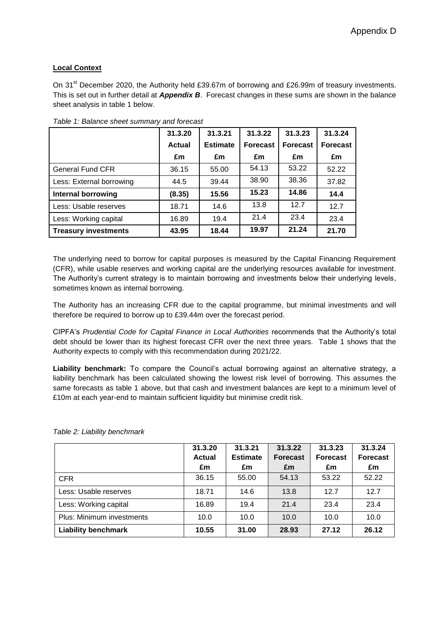### **Local Context**

On 31<sup>st</sup> December 2020, the Authority held £39.67m of borrowing and £26.99m of treasury investments. This is set out in further detail at *Appendix B*. Forecast changes in these sums are shown in the balance sheet analysis in table 1 below.

|                             | 31.3.20 | 31.3.21         | 31.3.22         | 31.3.23         | 31.3.24         |
|-----------------------------|---------|-----------------|-----------------|-----------------|-----------------|
|                             | Actual  | <b>Estimate</b> | <b>Forecast</b> | <b>Forecast</b> | <b>Forecast</b> |
|                             | £m      | £m              | £m              | £m              | £m              |
| <b>General Fund CFR</b>     | 36.15   | 55.00           | 54.13           | 53.22           | 52.22           |
| Less: External borrowing    | 44.5    | 39.44           | 38.90           | 38.36           | 37.82           |
| Internal borrowing          | (8.35)  | 15.56           | 15.23           | 14.86           | 14.4            |
| Less: Usable reserves       | 18.71   | 14.6            | 13.8            | 12.7            | 12.7            |
| Less: Working capital       | 16.89   | 19.4            | 21.4            | 23.4            | 23.4            |
| <b>Treasury investments</b> | 43.95   | 18.44           | 19.97           | 21.24           | 21.70           |

*Table 1: Balance sheet summary and forecast*

The underlying need to borrow for capital purposes is measured by the Capital Financing Requirement (CFR), while usable reserves and working capital are the underlying resources available for investment. The Authority's current strategy is to maintain borrowing and investments below their underlying levels, sometimes known as internal borrowing.

The Authority has an increasing CFR due to the capital programme, but minimal investments and will therefore be required to borrow up to £39.44m over the forecast period.

CIPFA's *Prudential Code for Capital Finance in Local Authorities* recommends that the Authority's total debt should be lower than its highest forecast CFR over the next three years. Table 1 shows that the Authority expects to comply with this recommendation during 2021/22.

Liability benchmark: To compare the Council's actual borrowing against an alternative strategy, a liability benchmark has been calculated showing the lowest risk level of borrowing. This assumes the same forecasts as table 1 above, but that cash and investment balances are kept to a minimum level of £10m at each year-end to maintain sufficient liquidity but minimise credit risk.

|                                  | 31.3.20<br><b>Actual</b><br>£m | 31.3.21<br><b>Estimate</b><br>£m | 31.3.22<br><b>Forecast</b><br>£m | 31.3.23<br><b>Forecast</b><br>£m | 31.3.24<br><b>Forecast</b><br>£m |
|----------------------------------|--------------------------------|----------------------------------|----------------------------------|----------------------------------|----------------------------------|
| <b>CFR</b>                       | 36.15                          | 55.00                            | 54.13                            | 53.22                            | 52.22                            |
| Less: Usable reserves            | 18.71                          | 14.6                             | 13.8                             | 12.7                             | 12.7                             |
| Less: Working capital            | 16.89                          | 19.4                             | 21.4                             | 23.4                             | 23.4                             |
| <b>Plus: Minimum investments</b> | 10.0                           | 10.0                             | 10.0                             | 10.0                             | 10.0                             |
| <b>Liability benchmark</b>       | 10.55                          | 31.00                            | 28.93                            | 27.12                            | 26.12                            |

*Table 2: Liability benchmark*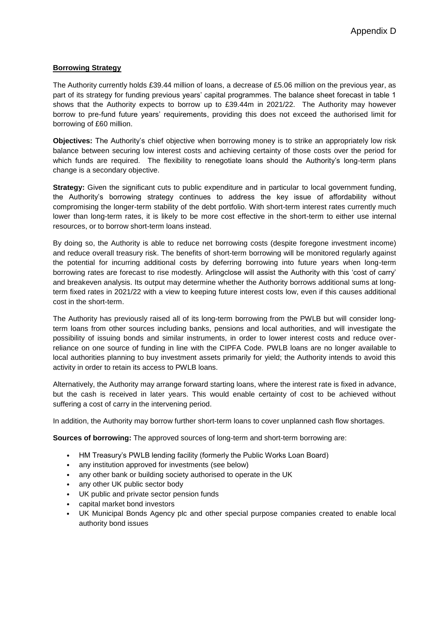#### **Borrowing Strategy**

The Authority currently holds £39.44 million of loans, a decrease of £5.06 million on the previous year, as part of its strategy for funding previous years' capital programmes. The balance sheet forecast in table 1 shows that the Authority expects to borrow up to £39.44m in 2021/22. The Authority may however borrow to pre-fund future years' requirements, providing this does not exceed the authorised limit for borrowing of £60 million.

**Objectives:** The Authority's chief objective when borrowing money is to strike an appropriately low risk balance between securing low interest costs and achieving certainty of those costs over the period for which funds are required. The flexibility to renegotiate loans should the Authority's long-term plans change is a secondary objective.

**Strategy:** Given the significant cuts to public expenditure and in particular to local government funding, the Authority's borrowing strategy continues to address the key issue of affordability without compromising the longer-term stability of the debt portfolio. With short-term interest rates currently much lower than long-term rates, it is likely to be more cost effective in the short-term to either use internal resources, or to borrow short-term loans instead.

By doing so, the Authority is able to reduce net borrowing costs (despite foregone investment income) and reduce overall treasury risk. The benefits of short-term borrowing will be monitored regularly against the potential for incurring additional costs by deferring borrowing into future years when long-term borrowing rates are forecast to rise modestly. Arlingclose will assist the Authority with this 'cost of carry' and breakeven analysis. Its output may determine whether the Authority borrows additional sums at longterm fixed rates in 2021/22 with a view to keeping future interest costs low, even if this causes additional cost in the short-term.

The Authority has previously raised all of its long-term borrowing from the PWLB but will consider longterm loans from other sources including banks, pensions and local authorities, and will investigate the possibility of issuing bonds and similar instruments, in order to lower interest costs and reduce overreliance on one source of funding in line with the CIPFA Code. PWLB loans are no longer available to local authorities planning to buy investment assets primarily for yield; the Authority intends to avoid this activity in order to retain its access to PWLB loans.

Alternatively, the Authority may arrange forward starting loans, where the interest rate is fixed in advance, but the cash is received in later years. This would enable certainty of cost to be achieved without suffering a cost of carry in the intervening period.

In addition, the Authority may borrow further short-term loans to cover unplanned cash flow shortages.

**Sources of borrowing:** The approved sources of long-term and short-term borrowing are:

- HM Treasury's PWLB lending facility (formerly the Public Works Loan Board)
- any institution approved for investments (see below)
- any other bank or building society authorised to operate in the UK
- any other UK public sector body
- UK public and private sector pension funds
- capital market bond investors
- UK Municipal Bonds Agency plc and other special purpose companies created to enable local authority bond issues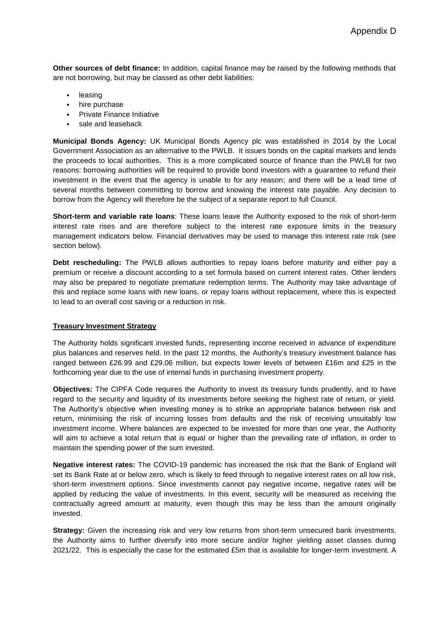**Other sources of debt finance:** In addition, capital finance may be raised by the following methods that are not borrowing, but may be classed as other debt liabilities:

- leasing
- hire purchase
- Private Finance Initiative
- sale and leaseback

**Municipal Bonds Agency:** UK Municipal Bonds Agency plc was established in 2014 by the Local Government Association as an alternative to the PWLB. It issues bonds on the capital markets and lends the proceeds to local authorities. This is a more complicated source of finance than the PWLB for two reasons: borrowing authorities will be required to provide bond investors with a guarantee to refund their investment in the event that the agency is unable to for any reason; and there will be a lead time of several months between committing to borrow and knowing the interest rate payable. Any decision to borrow from the Agency will therefore be the subject of a separate report to full Council.

**Short-term and variable rate loans**: These loans leave the Authority exposed to the risk of short-term interest rate rises and are therefore subject to the interest rate exposure limits in the treasury management indicators below. Financial derivatives may be used to manage this interest rate risk (see section below).

**Debt rescheduling:** The PWLB allows authorities to repay loans before maturity and either pay a premium or receive a discount according to a set formula based on current interest rates. Other lenders may also be prepared to negotiate premature redemption terms. The Authority may take advantage of this and replace some loans with new loans, or repay loans without replacement, where this is expected to lead to an overall cost saving or a reduction in risk.

#### **Treasury Investment Strategy**

The Authority holds significant invested funds, representing income received in advance of expenditure plus balances and reserves held. In the past 12 months, the Authority's treasury investment balance has ranged between £26.99 and £29.06 million, but expects lower levels of between £16m and £25 in the forthcoming year due to the use of internal funds in purchasing investment property.

**Objectives:** The CIPFA Code requires the Authority to invest its treasury funds prudently, and to have regard to the security and liquidity of its investments before seeking the highest rate of return, or yield. The Authority's objective when investing money is to strike an appropriate balance between risk and return, minimising the risk of incurring losses from defaults and the risk of receiving unsuitably low investment income. Where balances are expected to be invested for more than one year, the Authority will aim to achieve a total return that is equal or higher than the prevailing rate of inflation, in order to maintain the spending power of the sum invested.

**Negative interest rates:** The COVID-19 pandemic has increased the risk that the Bank of England will set its Bank Rate at or below zero, which is likely to feed through to negative interest rates on all low risk, short-term investment options. Since investments cannot pay negative income, negative rates will be applied by reducing the value of investments. In this event, security will be measured as receiving the contractually agreed amount at maturity, even though this may be less than the amount originally invested.

**Strategy:** Given the increasing risk and very low returns from short-term unsecured bank investments, the Authority aims to further diversify into more secure and/or higher yielding asset classes during 2021/22. This is especially the case for the estimated £5m that is available for longer-term investment. A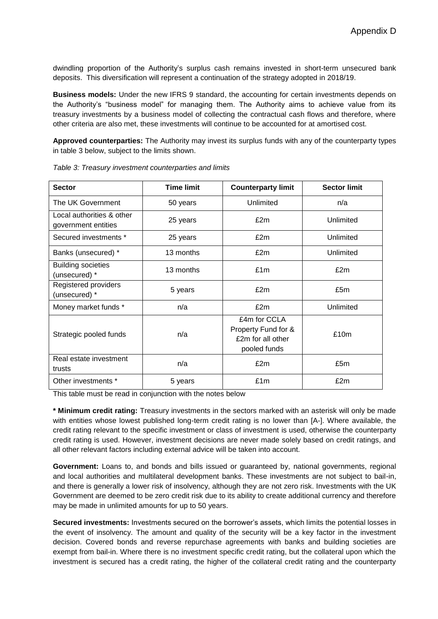dwindling proportion of the Authority's surplus cash remains invested in short-term unsecured bank deposits. This diversification will represent a continuation of the strategy adopted in 2018/19.

**Business models:** Under the new IFRS 9 standard, the accounting for certain investments depends on the Authority's "business model" for managing them. The Authority aims to achieve value from its treasury investments by a business model of collecting the contractual cash flows and therefore, where other criteria are also met, these investments will continue to be accounted for at amortised cost.

**Approved counterparties:** The Authority may invest its surplus funds with any of the counterparty types in table 3 below, subject to the limits shown.

| <b>Sector</b>                                    | <b>Time limit</b> | <b>Counterparty limit</b>                                                | <b>Sector limit</b> |
|--------------------------------------------------|-------------------|--------------------------------------------------------------------------|---------------------|
| The UK Government                                | 50 years          | Unlimited                                                                | n/a                 |
| Local authorities & other<br>government entities | 25 years          | £2m                                                                      | Unlimited           |
| Secured investments *                            | 25 years          | £2m                                                                      | Unlimited           |
| Banks (unsecured) *                              | 13 months         | £2m                                                                      | Unlimited           |
| <b>Building societies</b><br>(unsecured) *       | 13 months         | £1m                                                                      | £2m                 |
| Registered providers<br>(unsecured) *            | 5 years           | £2m                                                                      | £5m                 |
| Money market funds *                             | n/a               | £2m                                                                      | Unlimited           |
| Strategic pooled funds                           | n/a               | £4m for CCLA<br>Property Fund for &<br>£2m for all other<br>pooled funds | £10m                |
| Real estate investment<br>trusts                 | n/a               | £2m                                                                      | £5m                 |
| Other investments *                              | 5 years           | £1m                                                                      | £2m                 |

*Table 3: Treasury investment counterparties and limits* 

This table must be read in conjunction with the notes below

**\* Minimum credit rating:** Treasury investments in the sectors marked with an asterisk will only be made with entities whose lowest published long-term credit rating is no lower than [A-]. Where available, the credit rating relevant to the specific investment or class of investment is used, otherwise the counterparty credit rating is used. However, investment decisions are never made solely based on credit ratings, and all other relevant factors including external advice will be taken into account.

**Government:** Loans to, and bonds and bills issued or guaranteed by, national governments, regional and local authorities and multilateral development banks. These investments are not subject to bail-in, and there is generally a lower risk of insolvency, although they are not zero risk. Investments with the UK Government are deemed to be zero credit risk due to its ability to create additional currency and therefore may be made in unlimited amounts for up to 50 years.

**Secured investments:** Investments secured on the borrower's assets, which limits the potential losses in the event of insolvency. The amount and quality of the security will be a key factor in the investment decision. Covered bonds and reverse repurchase agreements with banks and building societies are exempt from bail-in. Where there is no investment specific credit rating, but the collateral upon which the investment is secured has a credit rating, the higher of the collateral credit rating and the counterparty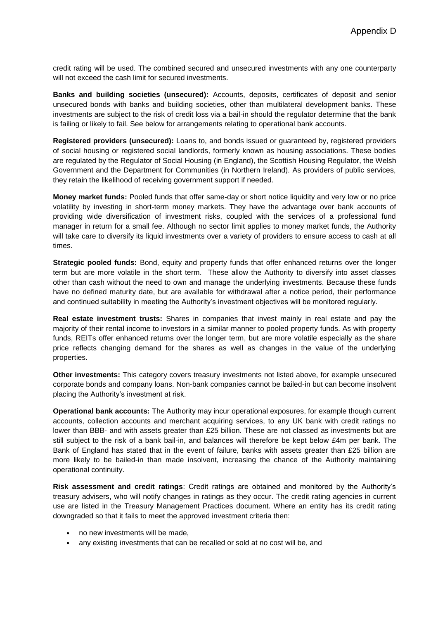credit rating will be used. The combined secured and unsecured investments with any one counterparty will not exceed the cash limit for secured investments.

**Banks and building societies (unsecured):** Accounts, deposits, certificates of deposit and senior unsecured bonds with banks and building societies, other than multilateral development banks. These investments are subject to the risk of credit loss via a bail-in should the regulator determine that the bank is failing or likely to fail. See below for arrangements relating to operational bank accounts.

**Registered providers (unsecured):** Loans to, and bonds issued or guaranteed by, registered providers of social housing or registered social landlords, formerly known as housing associations. These bodies are regulated by the Regulator of Social Housing (in England), the Scottish Housing Regulator, the Welsh Government and the Department for Communities (in Northern Ireland). As providers of public services, they retain the likelihood of receiving government support if needed.

**Money market funds:** Pooled funds that offer same-day or short notice liquidity and very low or no price volatility by investing in short-term money markets. They have the advantage over bank accounts of providing wide diversification of investment risks, coupled with the services of a professional fund manager in return for a small fee. Although no sector limit applies to money market funds, the Authority will take care to diversify its liquid investments over a variety of providers to ensure access to cash at all times.

**Strategic pooled funds:** Bond, equity and property funds that offer enhanced returns over the longer term but are more volatile in the short term. These allow the Authority to diversify into asset classes other than cash without the need to own and manage the underlying investments. Because these funds have no defined maturity date, but are available for withdrawal after a notice period, their performance and continued suitability in meeting the Authority's investment objectives will be monitored regularly.

**Real estate investment trusts:** Shares in companies that invest mainly in real estate and pay the majority of their rental income to investors in a similar manner to pooled property funds. As with property funds, REITs offer enhanced returns over the longer term, but are more volatile especially as the share price reflects changing demand for the shares as well as changes in the value of the underlying properties.

**Other investments:** This category covers treasury investments not listed above, for example unsecured corporate bonds and company loans. Non-bank companies cannot be bailed-in but can become insolvent placing the Authority's investment at risk.

**Operational bank accounts:** The Authority may incur operational exposures, for example though current accounts, collection accounts and merchant acquiring services, to any UK bank with credit ratings no lower than BBB- and with assets greater than £25 billion. These are not classed as investments but are still subject to the risk of a bank bail-in, and balances will therefore be kept below £4m per bank. The Bank of England has stated that in the event of failure, banks with assets greater than £25 billion are more likely to be bailed-in than made insolvent, increasing the chance of the Authority maintaining operational continuity.

**Risk assessment and credit ratings**: Credit ratings are obtained and monitored by the Authority's treasury advisers, who will notify changes in ratings as they occur. The credit rating agencies in current use are listed in the Treasury Management Practices document. Where an entity has its credit rating downgraded so that it fails to meet the approved investment criteria then:

- no new investments will be made,
- any existing investments that can be recalled or sold at no cost will be, and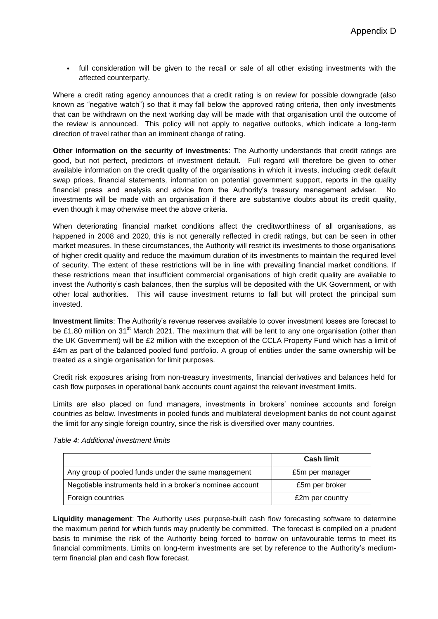• full consideration will be given to the recall or sale of all other existing investments with the affected counterparty.

Where a credit rating agency announces that a credit rating is on review for possible downgrade (also known as "negative watch") so that it may fall below the approved rating criteria, then only investments that can be withdrawn on the next working day will be made with that organisation until the outcome of the review is announced. This policy will not apply to negative outlooks, which indicate a long-term direction of travel rather than an imminent change of rating.

**Other information on the security of investments**: The Authority understands that credit ratings are good, but not perfect, predictors of investment default. Full regard will therefore be given to other available information on the credit quality of the organisations in which it invests, including credit default swap prices, financial statements, information on potential government support, reports in the quality financial press and analysis and advice from the Authority's treasury management adviser. No investments will be made with an organisation if there are substantive doubts about its credit quality, even though it may otherwise meet the above criteria.

When deteriorating financial market conditions affect the creditworthiness of all organisations, as happened in 2008 and 2020, this is not generally reflected in credit ratings, but can be seen in other market measures. In these circumstances, the Authority will restrict its investments to those organisations of higher credit quality and reduce the maximum duration of its investments to maintain the required level of security. The extent of these restrictions will be in line with prevailing financial market conditions. If these restrictions mean that insufficient commercial organisations of high credit quality are available to invest the Authority's cash balances, then the surplus will be deposited with the UK Government, or with other local authorities. This will cause investment returns to fall but will protect the principal sum invested.

**Investment limits**: The Authority's revenue reserves available to cover investment losses are forecast to be £1.80 million on 31<sup>st</sup> March 2021. The maximum that will be lent to any one organisation (other than the UK Government) will be £2 million with the exception of the CCLA Property Fund which has a limit of £4m as part of the balanced pooled fund portfolio. A group of entities under the same ownership will be treated as a single organisation for limit purposes.

Credit risk exposures arising from non-treasury investments, financial derivatives and balances held for cash flow purposes in operational bank accounts count against the relevant investment limits.

Limits are also placed on fund managers, investments in brokers' nominee accounts and foreign countries as below. Investments in pooled funds and multilateral development banks do not count against the limit for any single foreign country, since the risk is diversified over many countries.

|                                                           | <b>Cash limit</b> |
|-----------------------------------------------------------|-------------------|
| Any group of pooled funds under the same management       | £5m per manager   |
| Negotiable instruments held in a broker's nominee account | £5m per broker    |
| Foreign countries                                         | £2m per country   |

*Table 4: Additional investment limits*

**Liquidity management**: The Authority uses purpose-built cash flow forecasting software to determine the maximum period for which funds may prudently be committed. The forecast is compiled on a prudent basis to minimise the risk of the Authority being forced to borrow on unfavourable terms to meet its financial commitments. Limits on long-term investments are set by reference to the Authority's mediumterm financial plan and cash flow forecast.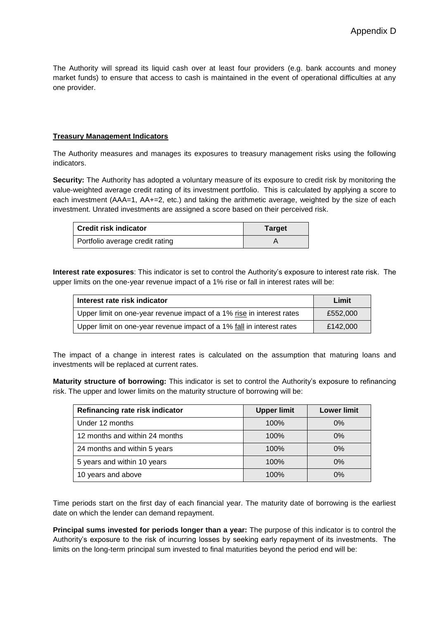The Authority will spread its liquid cash over at least four providers (e.g. bank accounts and money market funds) to ensure that access to cash is maintained in the event of operational difficulties at any one provider.

#### **Treasury Management Indicators**

The Authority measures and manages its exposures to treasury management risks using the following indicators.

**Security:** The Authority has adopted a voluntary measure of its exposure to credit risk by monitoring the value-weighted average credit rating of its investment portfolio. This is calculated by applying a score to each investment (AAA=1, AA+=2, etc.) and taking the arithmetic average, weighted by the size of each investment. Unrated investments are assigned a score based on their perceived risk.

| ∣ Credit risk indicator         | <b>Target</b> |
|---------------------------------|---------------|
| Portfolio average credit rating |               |

**Interest rate exposures**: This indicator is set to control the Authority's exposure to interest rate risk. The upper limits on the one-year revenue impact of a 1% rise or fall in interest rates will be:

| Interest rate risk indicator                                          | Limit    |
|-----------------------------------------------------------------------|----------|
| Upper limit on one-year revenue impact of a 1% rise in interest rates | £552.000 |
| Upper limit on one-year revenue impact of a 1% fall in interest rates | £142,000 |

The impact of a change in interest rates is calculated on the assumption that maturing loans and investments will be replaced at current rates.

**Maturity structure of borrowing:** This indicator is set to control the Authority's exposure to refinancing risk. The upper and lower limits on the maturity structure of borrowing will be:

| Refinancing rate risk indicator | <b>Upper limit</b> | <b>Lower limit</b> |
|---------------------------------|--------------------|--------------------|
| Under 12 months                 | 100%               | 0%                 |
| 12 months and within 24 months  | 100%               | 0%                 |
| 24 months and within 5 years    | 100%               | 0%                 |
| 5 years and within 10 years     | 100%               | 0%                 |
| 10 years and above              | 100%               | $0\%$              |

Time periods start on the first day of each financial year. The maturity date of borrowing is the earliest date on which the lender can demand repayment.

**Principal sums invested for periods longer than a year:** The purpose of this indicator is to control the Authority's exposure to the risk of incurring losses by seeking early repayment of its investments. The limits on the long-term principal sum invested to final maturities beyond the period end will be: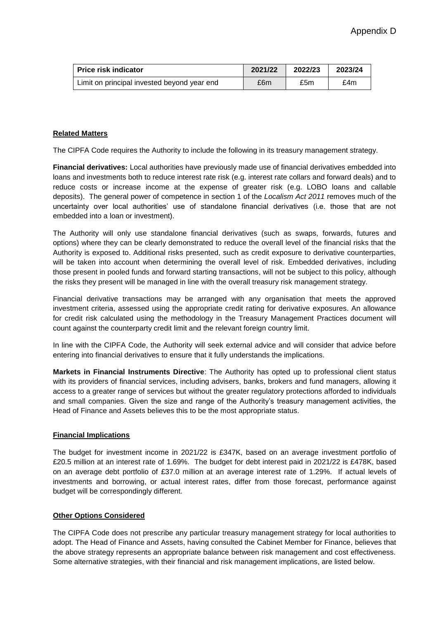| Price risk indicator                        | 2021/22 | 2022/23 | 2023/24 |
|---------------------------------------------|---------|---------|---------|
| Limit on principal invested beyond year end | £6m     | £5m     | £4m     |

#### **Related Matters**

The CIPFA Code requires the Authority to include the following in its treasury management strategy.

**Financial derivatives:** Local authorities have previously made use of financial derivatives embedded into loans and investments both to reduce interest rate risk (e.g. interest rate collars and forward deals) and to reduce costs or increase income at the expense of greater risk (e.g. LOBO loans and callable deposits). The general power of competence in section 1 of the *Localism Act 2011* removes much of the uncertainty over local authorities' use of standalone financial derivatives (i.e. those that are not embedded into a loan or investment).

The Authority will only use standalone financial derivatives (such as swaps, forwards, futures and options) where they can be clearly demonstrated to reduce the overall level of the financial risks that the Authority is exposed to. Additional risks presented, such as credit exposure to derivative counterparties, will be taken into account when determining the overall level of risk. Embedded derivatives, including those present in pooled funds and forward starting transactions, will not be subject to this policy, although the risks they present will be managed in line with the overall treasury risk management strategy.

Financial derivative transactions may be arranged with any organisation that meets the approved investment criteria, assessed using the appropriate credit rating for derivative exposures. An allowance for credit risk calculated using the methodology in the Treasury Management Practices document will count against the counterparty credit limit and the relevant foreign country limit.

In line with the CIPFA Code, the Authority will seek external advice and will consider that advice before entering into financial derivatives to ensure that it fully understands the implications.

**Markets in Financial Instruments Directive**: The Authority has opted up to professional client status with its providers of financial services, including advisers, banks, brokers and fund managers, allowing it access to a greater range of services but without the greater regulatory protections afforded to individuals and small companies. Given the size and range of the Authority's treasury management activities, the Head of Finance and Assets believes this to be the most appropriate status.

#### **Financial Implications**

The budget for investment income in 2021/22 is £347K, based on an average investment portfolio of £20.5 million at an interest rate of 1.69%. The budget for debt interest paid in 2021/22 is £478K, based on an average debt portfolio of £37.0 million at an average interest rate of 1.29%. If actual levels of investments and borrowing, or actual interest rates, differ from those forecast, performance against budget will be correspondingly different.

#### **Other Options Considered**

The CIPFA Code does not prescribe any particular treasury management strategy for local authorities to adopt. The Head of Finance and Assets, having consulted the Cabinet Member for Finance, believes that the above strategy represents an appropriate balance between risk management and cost effectiveness. Some alternative strategies, with their financial and risk management implications, are listed below.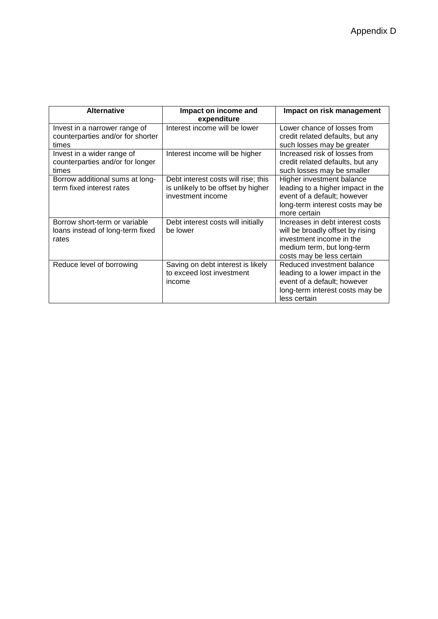| <b>Alternative</b>                                                          | Impact on income and<br>expenditure                                                            | Impact on risk management                                                                                                                                   |
|-----------------------------------------------------------------------------|------------------------------------------------------------------------------------------------|-------------------------------------------------------------------------------------------------------------------------------------------------------------|
| Invest in a narrower range of<br>counterparties and/or for shorter<br>times | Interest income will be lower                                                                  | Lower chance of losses from<br>credit related defaults, but any<br>such losses may be greater                                                               |
| Invest in a wider range of<br>counterparties and/or for longer<br>times     | Interest income will be higher                                                                 | Increased risk of losses from<br>credit related defaults, but any<br>such losses may be smaller                                                             |
| Borrow additional sums at long-<br>term fixed interest rates                | Debt interest costs will rise; this<br>is unlikely to be offset by higher<br>investment income | Higher investment balance<br>leading to a higher impact in the<br>event of a default; however<br>long-term interest costs may be<br>more certain            |
| Borrow short-term or variable<br>loans instead of long-term fixed<br>rates  | Debt interest costs will initially<br>be lower                                                 | Increases in debt interest costs<br>will be broadly offset by rising<br>investment income in the<br>medium term, but long-term<br>costs may be less certain |
| Reduce level of borrowing                                                   | Saving on debt interest is likely<br>to exceed lost investment<br>income                       | Reduced investment balance<br>leading to a lower impact in the<br>event of a default; however<br>long-term interest costs may be<br>less certain            |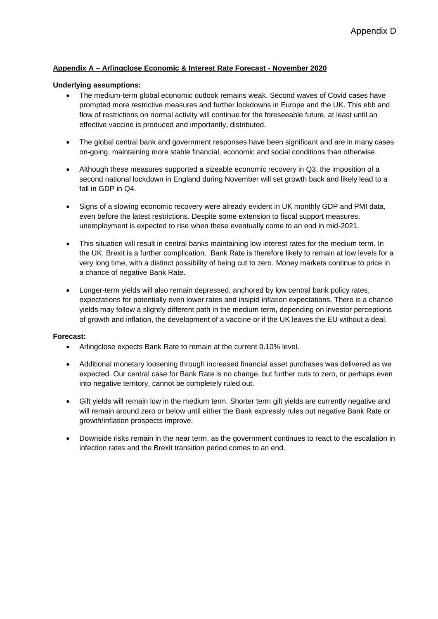#### **Appendix A – Arlingclose Economic & Interest Rate Forecast - November 2020**

#### **Underlying assumptions:**

- The medium-term global economic outlook remains weak. Second waves of Covid cases have prompted more restrictive measures and further lockdowns in Europe and the UK. This ebb and flow of restrictions on normal activity will continue for the foreseeable future, at least until an effective vaccine is produced and importantly, distributed.
- The global central bank and government responses have been significant and are in many cases on-going, maintaining more stable financial, economic and social conditions than otherwise.
- Although these measures supported a sizeable economic recovery in Q3, the imposition of a second national lockdown in England during November will set growth back and likely lead to a fall in GDP in Q4.
- Signs of a slowing economic recovery were already evident in UK monthly GDP and PMI data, even before the latest restrictions. Despite some extension to fiscal support measures, unemployment is expected to rise when these eventually come to an end in mid-2021.
- This situation will result in central banks maintaining low interest rates for the medium term. In the UK, Brexit is a further complication. Bank Rate is therefore likely to remain at low levels for a very long time, with a distinct possibility of being cut to zero. Money markets continue to price in a chance of negative Bank Rate.
- Longer-term yields will also remain depressed, anchored by low central bank policy rates, expectations for potentially even lower rates and insipid inflation expectations. There is a chance yields may follow a slightly different path in the medium term, depending on investor perceptions of growth and inflation, the development of a vaccine or if the UK leaves the EU without a deal.

#### **Forecast:**

- Arlingclose expects Bank Rate to remain at the current 0.10% level.
- Additional monetary loosening through increased financial asset purchases was delivered as we expected. Our central case for Bank Rate is no change, but further cuts to zero, or perhaps even into negative territory, cannot be completely ruled out.
- Gilt yields will remain low in the medium term. Shorter term gilt yields are currently negative and will remain around zero or below until either the Bank expressly rules out negative Bank Rate or growth/inflation prospects improve.
- Downside risks remain in the near term, as the government continues to react to the escalation in infection rates and the Brexit transition period comes to an end.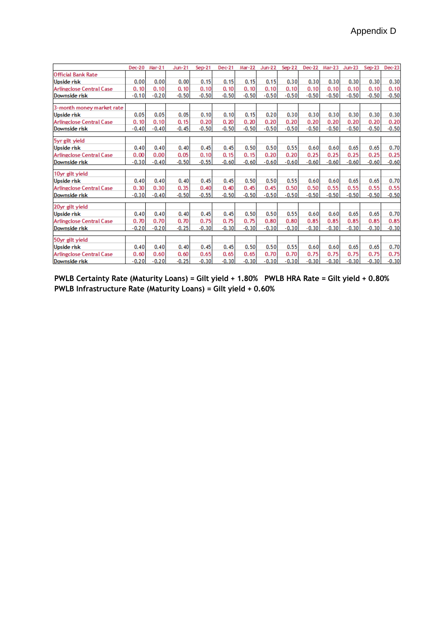|                                 | $Dec-20$ | Mar-21  | $Jun-21$ | $Sep-21$ | $Dec-21$ | Mar-22  | $Jun-22$ | $Sep-22$ | Dec-22  | Mar-23  | $Jun-23$ | $Sep-23$ | $Dec-23$ |
|---------------------------------|----------|---------|----------|----------|----------|---------|----------|----------|---------|---------|----------|----------|----------|
| <b>Official Bank Rate</b>       |          |         |          |          |          |         |          |          |         |         |          |          |          |
| <b>Upside risk</b>              | 0.00     | 0.00    | 0.00     | 0.15     | 0.15     | 0.15    | 0.15     | 0.30     | 0.30    | 0.30    | 0.30     | 0.30     | 0.30     |
| <b>Arlingclose Central Case</b> | 0.10     | 0.10    | 0.10     | 0.10     | 0.10     | 0.10    | 0.10     | 0.10     | 0.10    | 0.10    | 0.10     | 0.10     | 0.10     |
| Downside risk                   | $-0.10$  | $-0.20$ | $-0.50$  | $-0.50$  | $-0.50$  | $-0.50$ | $-0.50$  | $-0.50$  | $-0.50$ | $-0.50$ | $-0.50$  | $-0.50$  | $-0.50$  |
| 3-month money market rate       |          |         |          |          |          |         |          |          |         |         |          |          |          |
| <b>Upside risk</b>              | 0.05     | 0.05    | 0.05     | 0.10     | 0.10     | 0.15    | 0.20     | 0.30     | 0.30    | 0.30    | 0.30     | 0.30     | 0.30     |
| <b>Arlingclose Central Case</b> | 0.10     | 0.10    | 0.15     | 0.20     | 0.20     | 0.20    | 0.20     | 0.20     | 0.20    | 0.20    | 0.20     | 0.20     | 0.20     |
| Downside risk                   | $-0.40$  | $-0.40$ | $-0.45$  | $-0.50$  | $-0.50$  | $-0.50$ | $-0.50$  | $-0.50$  | $-0.50$ | $-0.50$ | $-0.50$  | $-0.50$  | $-0.50$  |
|                                 |          |         |          |          |          |         |          |          |         |         |          |          |          |
| 5yr gilt yield                  |          |         |          |          |          |         |          |          |         |         |          |          |          |
| <b>Upside risk</b>              | 0.40     | 0.40    | 0.40     | 0.45     | 0.45     | 0.50    | 0.50     | 0.55     | 0.60    | 0.60    | 0.65     | 0.65     | 0.70     |
| <b>Arlingclose Central Case</b> | 0.00     | 0.00    | 0.05     | 0.10     | 0.15     | 0.15    | 0.20     | 0.20     | 0.25    | 0.25    | 0.25     | 0.25     | 0.25     |
| Downside risk                   | $-0.30$  | $-0.40$ | $-0.50$  | $-0.55$  | $-0.60$  | $-0.60$ | $-0.60$  | $-0.60$  | $-0.60$ | $-0.60$ | $-0.60$  | $-0.60$  | $-0.60$  |
| 10yr gilt yield                 |          |         |          |          |          |         |          |          |         |         |          |          |          |
| <b>Upside risk</b>              | 0.40     | 0.40    | 0.40     | 0.45     | 0.45     | 0.50    | 0.50     | 0.55     | 0.60    | 0.60    | 0.65     | 0.65     | 0.70     |
| <b>Arlingclose Central Case</b> | 0.30     | 0.30    | 0.35     | 0.40     | 0.40     | 0.45    | 0.45     | 0.50     | 0.50    | 0.55    | 0.55     | 0.55     | 0.55     |
| Downside risk                   | $-0.30$  | $-0.40$ | $-0.50$  | $-0.55$  | $-0.50$  | $-0.50$ | $-0.50$  | $-0.50$  | $-0.50$ | $-0.50$ | $-0.50$  | $-0.50$  | $-0.50$  |
|                                 |          |         |          |          |          |         |          |          |         |         |          |          |          |
| 20yr gilt yield                 |          |         |          |          |          |         |          |          |         |         |          |          |          |
| <b>Upside risk</b>              | 0.40     | 0.40    | 0.40     | 0.45     | 0.45     | 0.50    | 0.50     | 0.55     | 0.60    | 0.60    | 0.65     | 0.65     | 0.70     |
| <b>Arlingclose Central Case</b> | 0.70     | 0.70    | 0.70     | 0.75     | 0.75     | 0.75    | 0.80     | 0.80     | 0.85    | 0.85    | 0.85     | 0.85     | 0.85     |
| Downside risk                   | $-0.20$  | $-0.20$ | $-0.25$  | $-0.30$  | $-0.30$  | $-0.30$ | $-0.30$  | $-0.30$  | $-0.30$ | $-0.30$ | $-0.30$  | $-0.30$  | $-0.30$  |
| 50yr gilt yield                 |          |         |          |          |          |         |          |          |         |         |          |          |          |
| <b>Upside risk</b>              | 0.40     | 0.40    | 0.40     | 0.45     | 0.45     | 0.50    | 0.50     | 0.55     | 0.60    | 0.60    | 0.65     | 0.65     | 0.70     |
| <b>Arlingclose Central Case</b> | 0.60     | 0.60    | 0.60     | 0.65     | 0.65     | 0.65    | 0.70     | 0.70     | 0.75    | 0.75    | 0.75     | 0.75     | 0.75     |
| Downside risk                   | $-0.20$  | $-0.20$ | $-0.25$  | $-0.30$  | $-0.30$  | $-0.30$ | $-0.30$  | $-0.30$  | $-0.30$ | $-0.30$ | $-0.30$  | $-0.30$  | $-0.30$  |

**PWLB Certainty Rate (Maturity Loans) = Gilt yield + 1.80% PWLB HRA Rate = Gilt yield + 0.80% PWLB Infrastructure Rate (Maturity Loans) = Gilt yield + 0.60%**